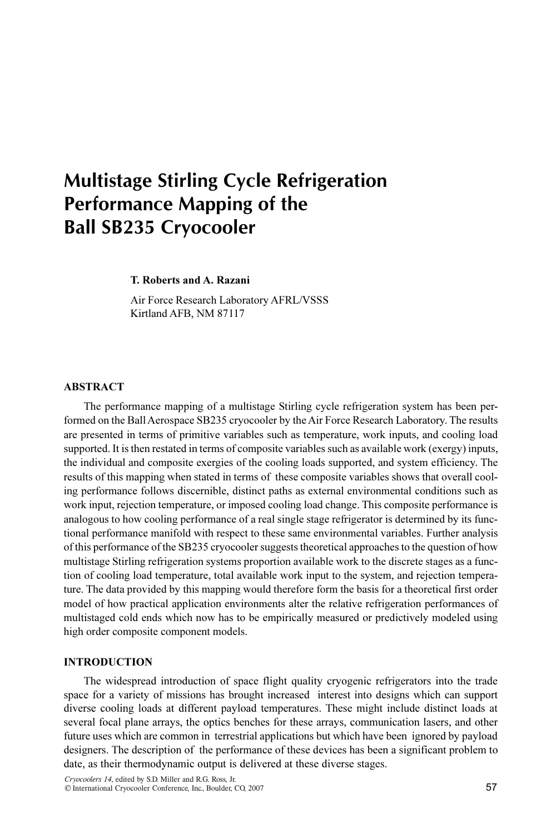# Multistage Stirling Cycle Refrigeration Performance Mapping of the Ball SB235 Cryocooler

T. Roberts and A. Razani

Air Force Research Laboratory AFRL/VSSS Kirtland AFB, NM 87117

# ABSTRACT

The performance mapping of a multistage Stirling cycle refrigeration system has been performed on the Ball Aerospace SB235 cryocooler by the Air Force Research Laboratory. The results are presented in terms of primitive variables such as temperature, work inputs, and cooling load supported. It is then restated in terms of composite variables such as available work (exergy) inputs, the individual and composite exergies of the cooling loads supported, and system efficiency. The results of this mapping when stated in terms of these composite variables shows that overall cooling performance follows discernible, distinct paths as external environmental conditions such as work input, rejection temperature, or imposed cooling load change. This composite performance is analogous to how cooling performance of a real single stage refrigerator is determined by its functional performance manifold with respect to these same environmental variables. Further analysis of this performance of the SB235 cryocooler suggests theoretical approaches to the question of how multistage Stirling refrigeration systems proportion available work to the discrete stages as a function of cooling load temperature, total available work input to the system, and rejection temperature. The data provided by this mapping would therefore form the basis for a theoretical first order model of how practical application environments alter the relative refrigeration performances of multistaged cold ends which now has to be empirically measured or predictively modeled using high order composite component models.

# INTRODUCTION

The widespread introduction of space flight quality cryogenic refrigerators into the trade space for a variety of missions has brought increased interest into designs which can support diverse cooling loads at different payload temperatures. These might include distinct loads at several focal plane arrays, the optics benches for these arrays, communication lasers, and other future uses which are common in terrestrial applications but which have been ignored by payload designers. The description of the performance of these devices has been a significant problem to date, as their thermodynamic output is delivered at these diverse stages.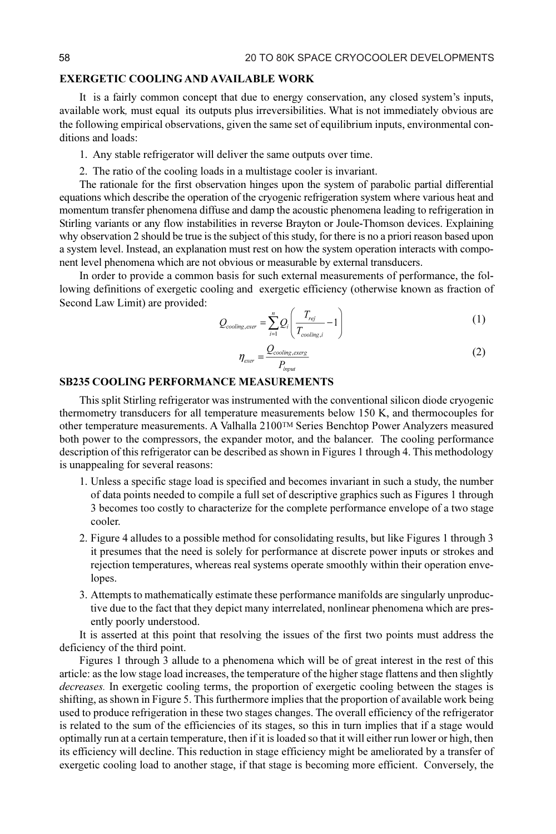#### EXERGETIC COOLING AND AVAILABLE WORK

It is a fairly common concept that due to energy conservation, any closed system's inputs, available work, must equal its outputs plus irreversibilities. What is not immediately obvious are the following empirical observations, given the same set of equilibrium inputs, environmental conditions and loads:

1. Any stable refrigerator will deliver the same outputs over time.

2. The ratio of the cooling loads in a multistage cooler is invariant.

The rationale for the first observation hinges upon the system of parabolic partial differential equations which describe the operation of the cryogenic refrigeration system where various heat and momentum transfer phenomena diffuse and damp the acoustic phenomena leading to refrigeration in Stirling variants or any flow instabilities in reverse Brayton or Joule-Thomson devices. Explaining why observation 2 should be true is the subject of this study, for there is no a priori reason based upon a system level. Instead, an explanation must rest on how the system operation interacts with component level phenomena which are not obvious or measurable by external transducers.

In order to provide a common basis for such external measurements of performance, the following definitions of exergetic cooling and exergetic efficiency (otherwise known as fraction of Second Law Limit) are provided:

$$
Q_{cooling,exer} = \sum_{i=1}^{n} Q_i \left( \frac{T_{rej}}{T_{cooling,i}} - 1 \right)
$$
 (1)

$$
\eta_{\text{exer}} = \frac{Q_{\text{cooling},\text{exerg}}}{P_{\text{input}}} \tag{2}
$$

### SB235 COOLING PERFORMANCE MEASUREMENTS

This split Stirling refrigerator was instrumented with the conventional silicon diode cryogenic thermometry transducers for all temperature measurements below 150 K, and thermocouples for other temperature measurements. A Valhalla 2100TM Series Benchtop Power Analyzers measured both power to the compressors, the expander motor, and the balancer. The cooling performance description of this refrigerator can be described as shown in Figures 1 through 4. This methodology is unappealing for several reasons:

- 1. Unless a specific stage load is specified and becomes invariant in such a study, the number of data points needed to compile a full set of descriptive graphics such as Figures 1 through 3 becomes too costly to characterize for the complete performance envelope of a two stage cooler.
- 2. Figure 4 alludes to a possible method for consolidating results, but like Figures 1 through 3 it presumes that the need is solely for performance at discrete power inputs or strokes and rejection temperatures, whereas real systems operate smoothly within their operation envelopes.
- 3. Attempts to mathematically estimate these performance manifolds are singularly unproductive due to the fact that they depict many interrelated, nonlinear phenomena which are presently poorly understood.

It is asserted at this point that resolving the issues of the first two points must address the deficiency of the third point.

Figures 1 through 3 allude to a phenomena which will be of great interest in the rest of this article: as the low stage load increases, the temperature of the higher stage flattens and then slightly decreases. In exergetic cooling terms, the proportion of exergetic cooling between the stages is shifting, as shown in Figure 5. This furthermore implies that the proportion of available work being used to produce refrigeration in these two stages changes. The overall efficiency of the refrigerator is related to the sum of the efficiencies of its stages, so this in turn implies that if a stage would optimally run at a certain temperature, then if it is loaded so that it will either run lower or high, then its efficiency will decline. This reduction in stage efficiency might be ameliorated by a transfer of exergetic cooling load to another stage, if that stage is becoming more efficient. Conversely, the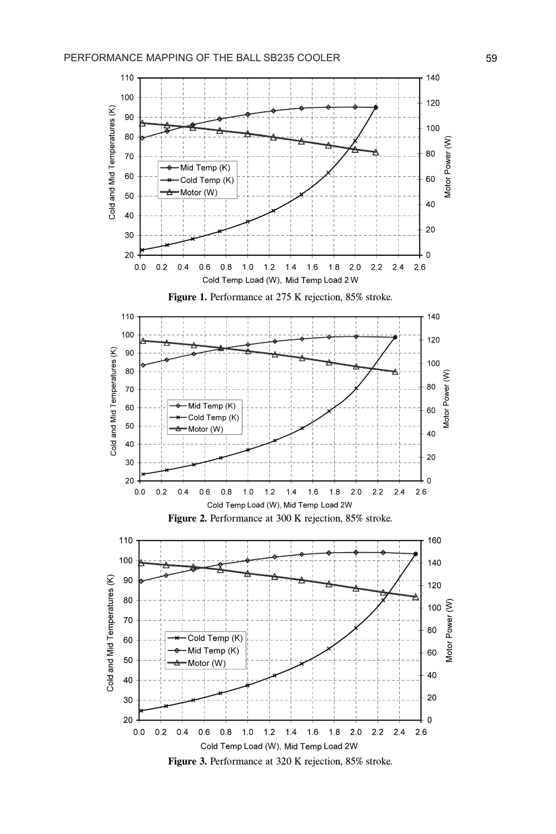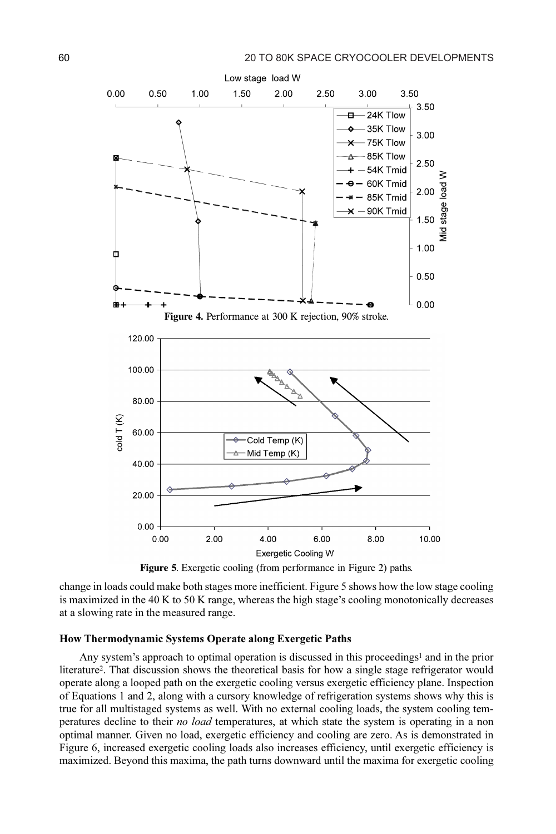

Figure 5. Exergetic cooling (from performance in Figure 2) paths.

change in loads could make both stages more inefficient. Figure 5 shows how the low stage cooling is maximized in the 40 K to 50 K range, whereas the high stage's cooling monotonically decreases at a slowing rate in the measured range.

#### How Thermodynamic Systems Operate along Exergetic Paths

Any system's approach to optimal operation is discussed in this proceedings<sup>1</sup> and in the prior literature<sup>2</sup>. That discussion shows the theoretical basis for how a single stage refrigerator would operate along a looped path on the exergetic cooling versus exergetic efficiency plane. Inspection of Equations 1 and 2, along with a cursory knowledge of refrigeration systems shows why this is true for all multistaged systems as well. With no external cooling loads, the system cooling temperatures decline to their *no load* temperatures, at which state the system is operating in a non optimal manner. Given no load, exergetic efficiency and cooling are zero. As is demonstrated in Figure 6, increased exergetic cooling loads also increases efficiency, until exergetic efficiency is maximized. Beyond this maxima, the path turns downward until the maxima for exergetic cooling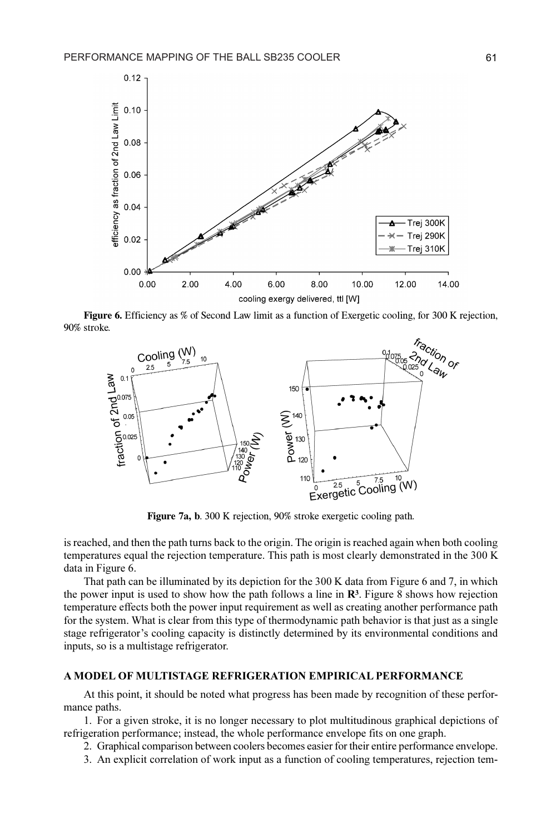

Figure 6. Efficiency as % of Second Law limit as a function of Exergetic cooling, for 300 K rejection, 90% stroke.



Figure 7a, b. 300 K rejection, 90% stroke exergetic cooling path.

is reached, and then the path turns back to the origin. The origin is reached again when both cooling temperatures equal the rejection temperature. This path is most clearly demonstrated in the 300 K data in Figure 6.

That path can be illuminated by its depiction for the 300 K data from Figure 6 and 7, in which the power input is used to show how the path follows a line in  $\mathbb{R}^3$ . Figure 8 shows how rejection temperature effects both the power input requirement as well as creating another performance path for the system. What is clear from this type of thermodynamic path behavior is that just as a single stage refrigerator's cooling capacity is distinctly determined by its environmental conditions and inputs, so is a multistage refrigerator.

#### A MODEL OF MULTISTAGE REFRIGERATION EMPIRICAL PERFORMANCE

At this point, it should be noted what progress has been made by recognition of these performance paths.

1. For a given stroke, it is no longer necessary to plot multitudinous graphical depictions of refrigeration performance; instead, the whole performance envelope fits on one graph.

2. Graphical comparison between coolers becomes easier for their entire performance envelope.

3. An explicit correlation of work input as a function of cooling temperatures, rejection tem-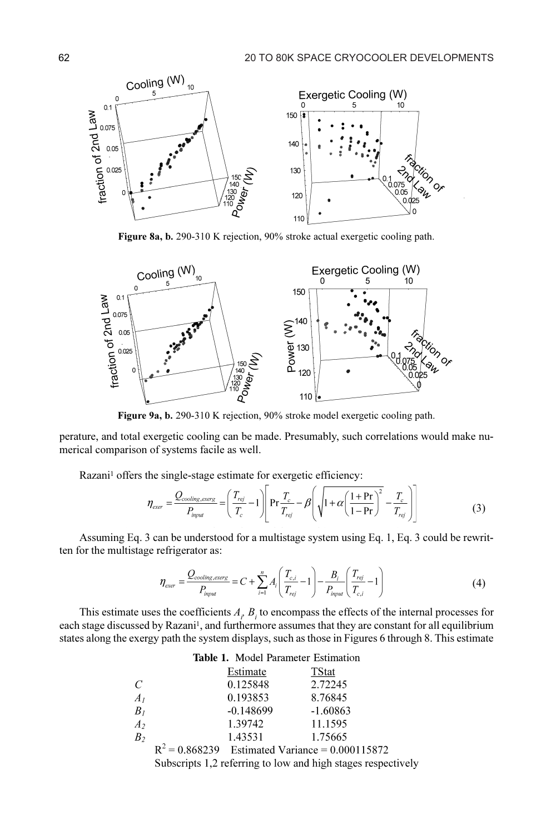

Figure 8a, b. 290-310 K rejection, 90% stroke actual exergetic cooling path.



Figure 9a, b. 290-310 K rejection, 90% stroke model exergetic cooling path.

perature, and total exergetic cooling can be made. Presumably, such correlations would make numerical comparison of systems facile as well.

Razani<sup>1</sup> offers the single-stage estimate for exergetic efficiency:

$$
\eta_{\text{exer}} = \frac{Q_{\text{cooling},\text{exerg}}}{P_{\text{input}}} = \left(\frac{T_{\text{rej}}}{T_c} - 1\right) \left[ \Pr \frac{T_c}{T_{\text{rej}}} - \beta \left(\sqrt{1 + \alpha \left(\frac{1 + \Pr}{1 - \Pr}\right)^2} - \frac{T_c}{T_{\text{rej}}}\right) \right]
$$
(3)

Assuming Eq. 3 can be understood for a multistage system using Eq. 1, Eq. 3 could be rewritten for the multistage refrigerator as:

$$
\eta_{\text{exer}} = \frac{Q_{\text{cooling},\text{exerg}}}{P_{\text{input}}} = C + \sum_{i=1}^{n} A_i \left( \frac{T_{c,i}}{T_{\text{rej}}} - 1 \right) - \frac{B_i}{P_{\text{input}}} \left( \frac{T_{\text{rej}}}{T_{c,i}} - 1 \right)
$$
(4)

This estimate uses the coefficients  $A_i$ ,  $B_i$ , to encompass the effects of the internal processes for each stage discussed by Razani<sup>1</sup>, and furthermore assumes that they are constant for all equilibrium states along the exergy path the system displays, such as those in Figures 6 through 8. This estimate

| <b>Table 1.</b> Model Parameter Estimation |                                                              |                                                   |              |
|--------------------------------------------|--------------------------------------------------------------|---------------------------------------------------|--------------|
|                                            |                                                              | Estimate                                          | <b>TStat</b> |
| $\mathcal{C}$                              |                                                              | 0.125848                                          | 2.72245      |
| $A_I$                                      |                                                              | 0.193853                                          | 8.76845      |
| $B_I$                                      |                                                              | $-0.148699$                                       | $-1.60863$   |
| A <sub>2</sub>                             |                                                              | 1.39742                                           | 11.1595      |
| B <sub>2</sub>                             |                                                              | 1.43531                                           | 1.75665      |
|                                            |                                                              | $R^2 = 0.868239$ Estimated Variance = 0.000115872 |              |
|                                            | Subscripts 1,2 referring to low and high stages respectively |                                                   |              |